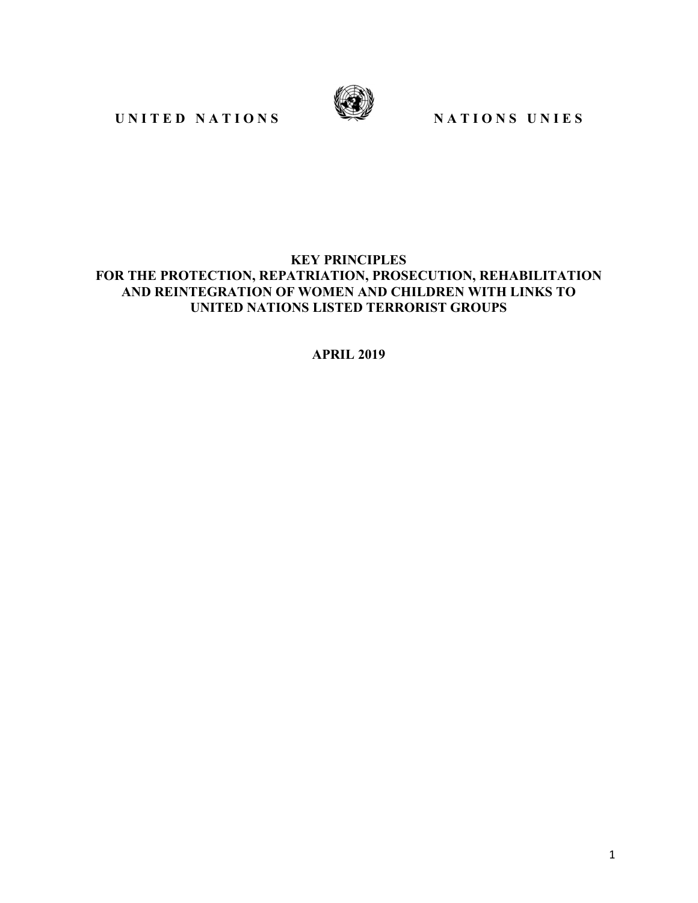UNITED NATIONS SERVICES



#### **KEY PRINCIPLES FOR THE PROTECTION, REPATRIATION, PROSECUTION, REHABILITATION AND REINTEGRATION OF WOMEN AND CHILDREN WITH LINKS TO UNITED NATIONS LISTED TERRORIST GROUPS**

**APRIL 2019** 

1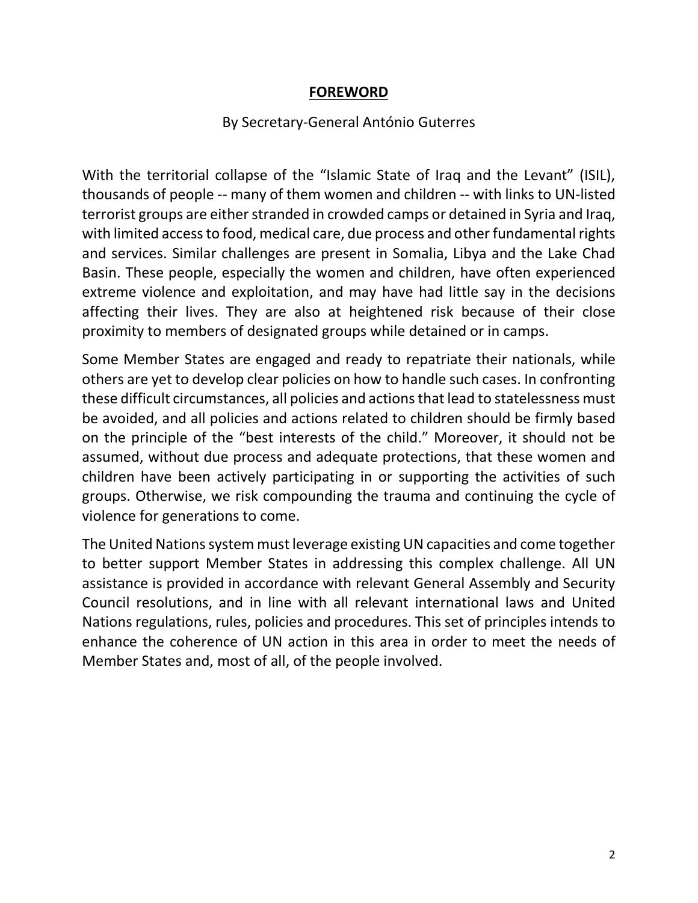## **FOREWORD**

#### By Secretary-General António Guterres

With the territorial collapse of the "Islamic State of Iraq and the Levant" (ISIL), thousands of people -- many of them women and children -- with links to UN-listed terrorist groups are either stranded in crowded camps or detained in Syria and Iraq, with limited access to food, medical care, due process and other fundamental rights and services. Similar challenges are present in Somalia, Libya and the Lake Chad Basin. These people, especially the women and children, have often experienced extreme violence and exploitation, and may have had little say in the decisions affecting their lives. They are also at heightened risk because of their close proximity to members of designated groups while detained or in camps.

Some Member States are engaged and ready to repatriate their nationals, while others are yet to develop clear policies on how to handle such cases. In confronting these difficult circumstances, all policies and actions that lead to statelessness must be avoided, and all policies and actions related to children should be firmly based on the principle of the "best interests of the child." Moreover, it should not be assumed, without due process and adequate protections, that these women and children have been actively participating in or supporting the activities of such groups. Otherwise, we risk compounding the trauma and continuing the cycle of violence for generations to come.

The United Nations system must leverage existing UN capacities and come together to better support Member States in addressing this complex challenge. All UN assistance is provided in accordance with relevant General Assembly and Security Council resolutions, and in line with all relevant international laws and United Nations regulations, rules, policies and procedures. This set of principles intends to enhance the coherence of UN action in this area in order to meet the needs of Member States and, most of all, of the people involved.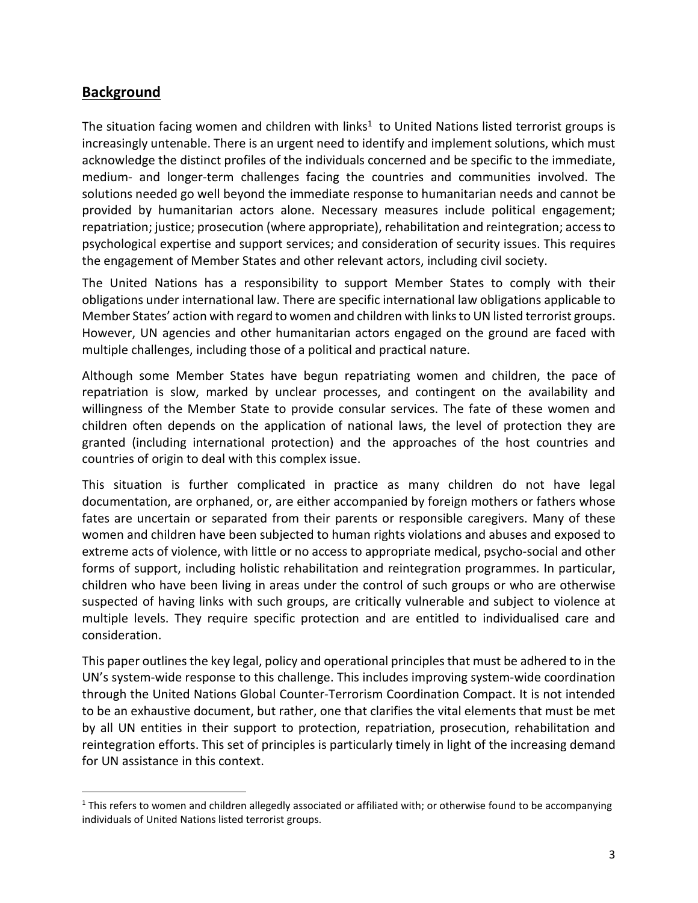## **Background**

<u>.</u>

The situation facing women and children with links<sup>1</sup> to United Nations listed terrorist groups is increasingly untenable. There is an urgent need to identify and implement solutions, which must acknowledge the distinct profiles of the individuals concerned and be specific to the immediate, medium- and longer-term challenges facing the countries and communities involved. The solutions needed go well beyond the immediate response to humanitarian needs and cannot be provided by humanitarian actors alone. Necessary measures include political engagement; repatriation; justice; prosecution (where appropriate), rehabilitation and reintegration; access to psychological expertise and support services; and consideration of security issues. This requires the engagement of Member States and other relevant actors, including civil society.

The United Nations has a responsibility to support Member States to comply with their obligations under international law. There are specific international law obligations applicable to Member States' action with regard to women and children with links to UN listed terrorist groups. However, UN agencies and other humanitarian actors engaged on the ground are faced with multiple challenges, including those of a political and practical nature.

Although some Member States have begun repatriating women and children, the pace of repatriation is slow, marked by unclear processes, and contingent on the availability and willingness of the Member State to provide consular services. The fate of these women and children often depends on the application of national laws, the level of protection they are granted (including international protection) and the approaches of the host countries and countries of origin to deal with this complex issue.

This situation is further complicated in practice as many children do not have legal documentation, are orphaned, or, are either accompanied by foreign mothers or fathers whose fates are uncertain or separated from their parents or responsible caregivers. Many of these women and children have been subjected to human rights violations and abuses and exposed to extreme acts of violence, with little or no access to appropriate medical, psycho-social and other forms of support, including holistic rehabilitation and reintegration programmes. In particular, children who have been living in areas under the control of such groups or who are otherwise suspected of having links with such groups, are critically vulnerable and subject to violence at multiple levels. They require specific protection and are entitled to individualised care and consideration.

This paper outlines the key legal, policy and operational principles that must be adhered to in the UN's system-wide response to this challenge. This includes improving system-wide coordination through the United Nations Global Counter-Terrorism Coordination Compact. It is not intended to be an exhaustive document, but rather, one that clarifies the vital elements that must be met by all UN entities in their support to protection, repatriation, prosecution, rehabilitation and reintegration efforts. This set of principles is particularly timely in light of the increasing demand for UN assistance in this context.

 $1$  This refers to women and children allegedly associated or affiliated with; or otherwise found to be accompanying individuals of United Nations listed terrorist groups.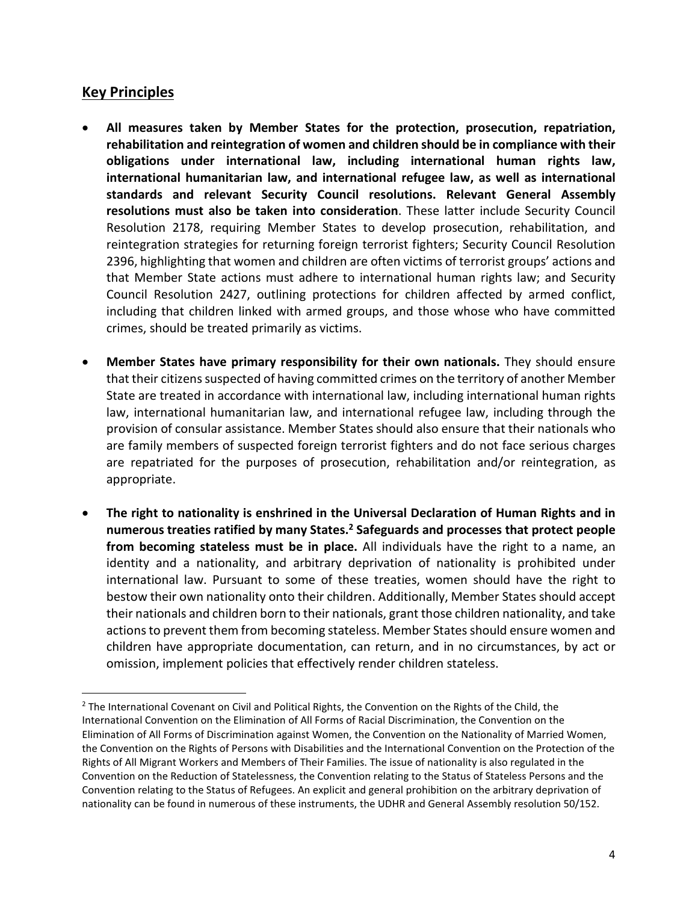## **Key Principles**

<u>.</u>

- **All measures taken by Member States for the protection, prosecution, repatriation, rehabilitation and reintegration of women and children should be in compliance with their obligations under international law, including international human rights law, international humanitarian law, and international refugee law, as well as international standards and relevant Security Council resolutions. Relevant General Assembly resolutions must also be taken into consideration**. These latter include Security Council Resolution 2178, requiring Member States to develop prosecution, rehabilitation, and reintegration strategies for returning foreign terrorist fighters; Security Council Resolution 2396, highlighting that women and children are often victims of terrorist groups' actions and that Member State actions must adhere to international human rights law; and Security Council Resolution 2427, outlining protections for children affected by armed conflict, including that children linked with armed groups, and those whose who have committed crimes, should be treated primarily as victims.
- **Member States have primary responsibility for their own nationals.** They should ensure that their citizens suspected of having committed crimes on the territory of another Member State are treated in accordance with international law, including international human rights law, international humanitarian law, and international refugee law, including through the provision of consular assistance. Member States should also ensure that their nationals who are family members of suspected foreign terrorist fighters and do not face serious charges are repatriated for the purposes of prosecution, rehabilitation and/or reintegration, as appropriate.
- **The right to nationality is enshrined in the Universal Declaration of Human Rights and in numerous treaties ratified by many States.<sup>2</sup> Safeguards and processes that protect people from becoming stateless must be in place.** All individuals have the right to a name, an identity and a nationality, and arbitrary deprivation of nationality is prohibited under international law. Pursuant to some of these treaties, women should have the right to bestow their own nationality onto their children. Additionally, Member States should accept their nationals and children born to their nationals, grant those children nationality, and take actions to prevent them from becoming stateless. Member States should ensure women and children have appropriate documentation, can return, and in no circumstances, by act or omission, implement policies that effectively render children stateless.

<sup>&</sup>lt;sup>2</sup> The International Covenant on Civil and Political Rights, the Convention on the Rights of the Child, the International Convention on the Elimination of All Forms of Racial Discrimination, the Convention on the Elimination of All Forms of Discrimination against Women, the Convention on the Nationality of Married Women, the Convention on the Rights of Persons with Disabilities and the International Convention on the Protection of the Rights of All Migrant Workers and Members of Their Families. The issue of nationality is also regulated in the Convention on the Reduction of Statelessness, the Convention relating to the Status of Stateless Persons and the Convention relating to the Status of Refugees. An explicit and general prohibition on the arbitrary deprivation of nationality can be found in numerous of these instruments, the UDHR and General Assembly resolution 50/152.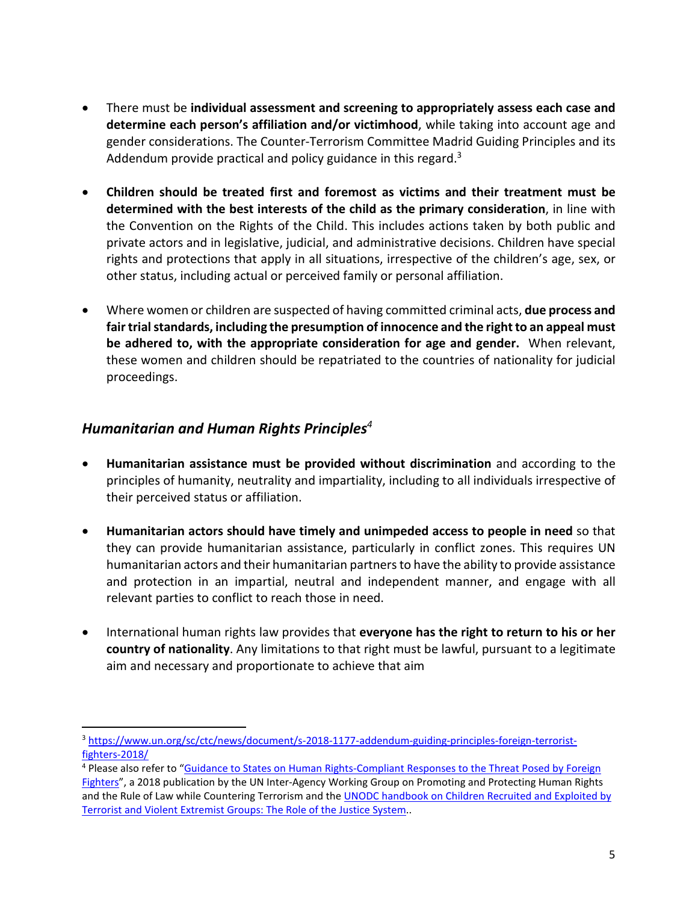- There must be **individual assessment and screening to appropriately assess each case and determine each person's affiliation and/or victimhood**, while taking into account age and gender considerations. The Counter-Terrorism Committee Madrid Guiding Principles and its Addendum provide practical and policy guidance in this regard.<sup>3</sup>
- **Children should be treated first and foremost as victims and their treatment must be determined with the best interests of the child as the primary consideration**, in line with the Convention on the Rights of the Child. This includes actions taken by both public and private actors and in legislative, judicial, and administrative decisions. Children have special rights and protections that apply in all situations, irrespective of the children's age, sex, or other status, including actual or perceived family or personal affiliation.
- Where women or children are suspected of having committed criminal acts, **due process and fair trial standards, including the presumption of innocence and the right to an appeal must be adhered to, with the appropriate consideration for age and gender.** When relevant, these women and children should be repatriated to the countries of nationality for judicial proceedings.

#### *Humanitarian and Human Rights Principles<sup>4</sup>*

l

- **Humanitarian assistance must be provided without discrimination** and according to the principles of humanity, neutrality and impartiality, including to all individuals irrespective of their perceived status or affiliation.
- **Humanitarian actors should have timely and unimpeded access to people in need** so that they can provide humanitarian assistance, particularly in conflict zones. This requires UN humanitarian actors and their humanitarian partners to have the ability to provide assistance and protection in an impartial, neutral and independent manner, and engage with all relevant parties to conflict to reach those in need.
- International human rights law provides that **everyone has the right to return to his or her country of nationality**. Any limitations to that right must be lawful, pursuant to a legitimate aim and necessary and proportionate to achieve that aim

<sup>3</sup> https://www.un.org/sc/ctc/news/document/s-2018-1177-addendum-guiding-principles-foreign-terroristfighters-2018/

<sup>&</sup>lt;sup>4</sup> Please also refer to "Guidance to States on Human Rights-Compliant Responses to the Threat Posed by Foreign Fighters", a 2018 publication by the UN Inter-Agency Working Group on Promoting and Protecting Human Rights and the Rule of Law while Countering Terrorism and the **UNODC** handbook on Children Recruited and Exploited by Terrorist and Violent Extremist Groups: The Role of the Justice System..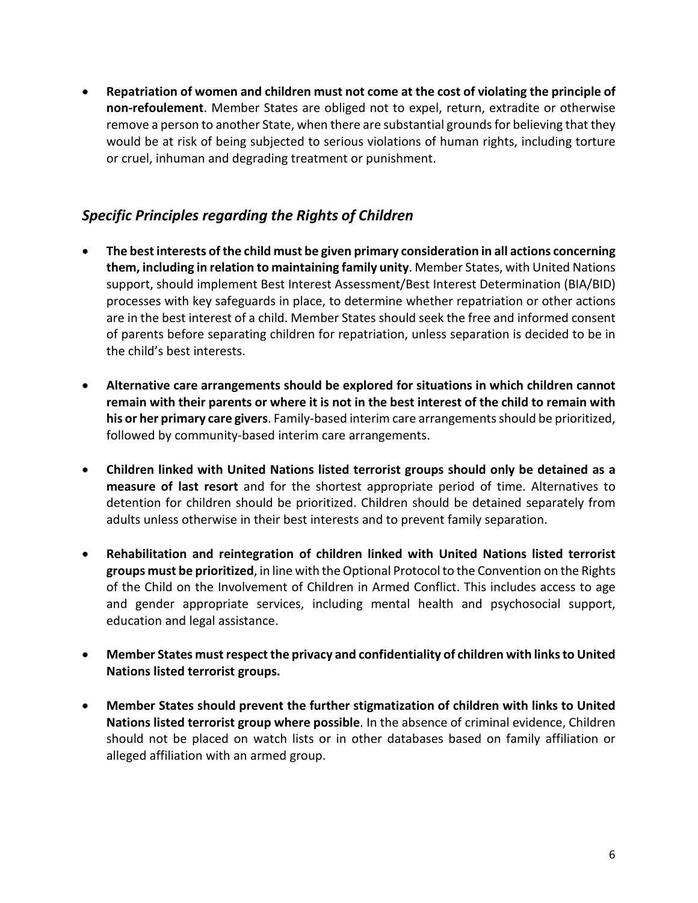• **Repatriation of women and children must not come at the cost of violating the principle of non-refoulement**. Member States are obliged not to expel, return, extradite or otherwise remove a person to another State, when there are substantial grounds for believing that they would be at risk of being subjected to serious violations of human rights, including torture or cruel, inhuman and degrading treatment or punishment.

## *Specific Principles regarding the Rights of Children*

- **The best interests of the child must be given primary consideration in all actions concerning them, including in relation to maintaining family unity**. Member States, with United Nations support, should implement Best Interest Assessment/Best Interest Determination (BIA/BID) processes with key safeguards in place, to determine whether repatriation or other actions are in the best interest of a child. Member States should seek the free and informed consent of parents before separating children for repatriation, unless separation is decided to be in the child's best interests.
- **Alternative care arrangements should be explored for situations in which children cannot remain with their parents or where it is not in the best interest of the child to remain with his or her primary care givers**. Family-based interim care arrangements should be prioritized, followed by community-based interim care arrangements.
- **Children linked with United Nations listed terrorist groups should only be detained as a measure of last resort** and for the shortest appropriate period of time. Alternatives to detention for children should be prioritized. Children should be detained separately from adults unless otherwise in their best interests and to prevent family separation.
- **Rehabilitation and reintegration of children linked with United Nations listed terrorist groups must be prioritized**, in line with the Optional Protocol to the Convention on the Rights of the Child on the Involvement of Children in Armed Conflict. This includes access to age and gender appropriate services, including mental health and psychosocial support, education and legal assistance.
- **Member States must respect the privacy and confidentiality of children with links to United Nations listed terrorist groups.**
- **Member States should prevent the further stigmatization of children with links to United Nations listed terrorist group where possible**. In the absence of criminal evidence, Children should not be placed on watch lists or in other databases based on family affiliation or alleged affiliation with an armed group.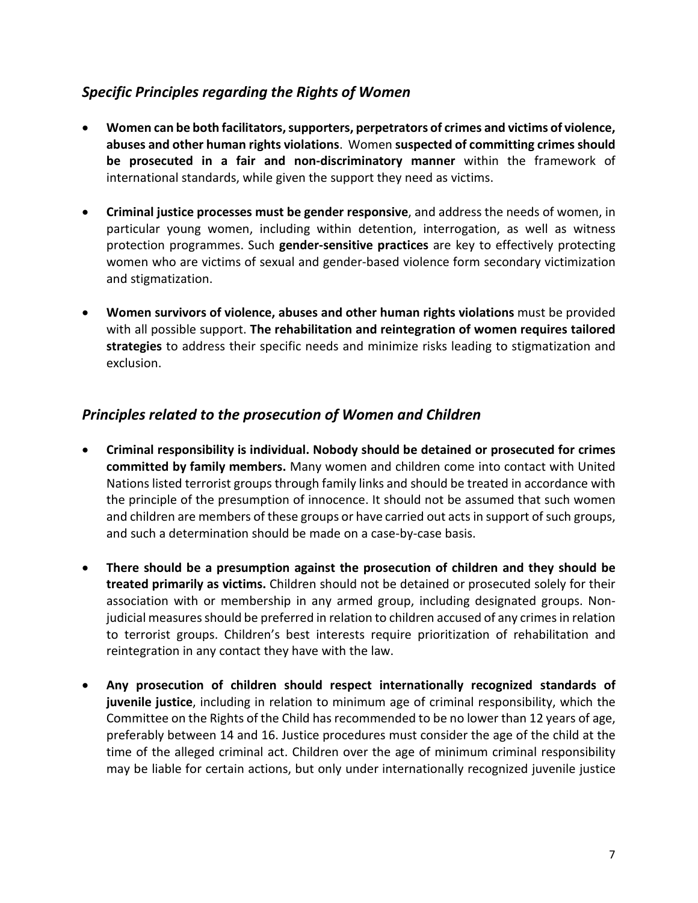## *Specific Principles regarding the Rights of Women*

- **Women can be both facilitators, supporters, perpetrators of crimes and victims of violence, abuses and other human rights violations**. Women **suspected of committing crimes should be prosecuted in a fair and non-discriminatory manner** within the framework of international standards, while given the support they need as victims.
- **Criminal justice processes must be gender responsive**, and address the needs of women, in particular young women, including within detention, interrogation, as well as witness protection programmes. Such **gender-sensitive practices** are key to effectively protecting women who are victims of sexual and gender-based violence form secondary victimization and stigmatization.
- **Women survivors of violence, abuses and other human rights violations** must be provided with all possible support. **The rehabilitation and reintegration of women requires tailored strategies** to address their specific needs and minimize risks leading to stigmatization and exclusion.

## *Principles related to the prosecution of Women and Children*

- **Criminal responsibility is individual. Nobody should be detained or prosecuted for crimes committed by family members.** Many women and children come into contact with United Nations listed terrorist groups through family links and should be treated in accordance with the principle of the presumption of innocence. It should not be assumed that such women and children are members of these groups or have carried out acts in support of such groups, and such a determination should be made on a case-by-case basis.
- **There should be a presumption against the prosecution of children and they should be treated primarily as victims.** Children should not be detained or prosecuted solely for their association with or membership in any armed group, including designated groups. Nonjudicial measures should be preferred in relation to children accused of any crimes in relation to terrorist groups. Children's best interests require prioritization of rehabilitation and reintegration in any contact they have with the law.
- **Any prosecution of children should respect internationally recognized standards of juvenile justice**, including in relation to minimum age of criminal responsibility, which the Committee on the Rights of the Child has recommended to be no lower than 12 years of age, preferably between 14 and 16. Justice procedures must consider the age of the child at the time of the alleged criminal act. Children over the age of minimum criminal responsibility may be liable for certain actions, but only under internationally recognized juvenile justice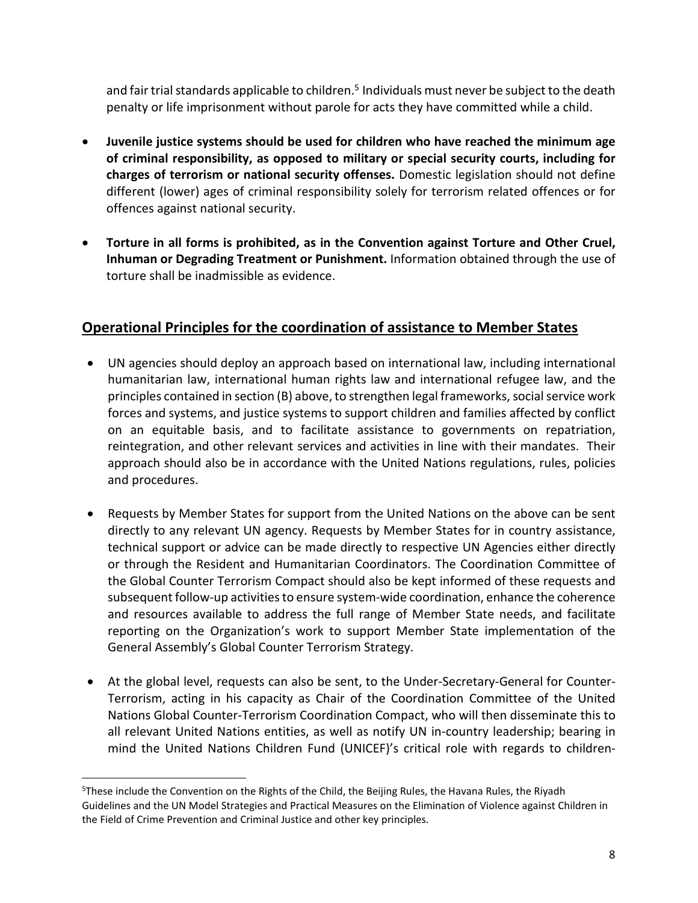and fair trial standards applicable to children.<sup>5</sup> Individuals must never be subject to the death penalty or life imprisonment without parole for acts they have committed while a child.

- **Juvenile justice systems should be used for children who have reached the minimum age of criminal responsibility, as opposed to military or special security courts, including for charges of terrorism or national security offenses.** Domestic legislation should not define different (lower) ages of criminal responsibility solely for terrorism related offences or for offences against national security.
- **Torture in all forms is prohibited, as in the Convention against Torture and Other Cruel, Inhuman or Degrading Treatment or Punishment.** Information obtained through the use of torture shall be inadmissible as evidence.

# **Operational Principles for the coordination of assistance to Member States**

- UN agencies should deploy an approach based on international law, including international humanitarian law, international human rights law and international refugee law, and the principles contained in section (B) above, to strengthen legal frameworks, social service work forces and systems, and justice systems to support children and families affected by conflict on an equitable basis, and to facilitate assistance to governments on repatriation, reintegration, and other relevant services and activities in line with their mandates. Their approach should also be in accordance with the United Nations regulations, rules, policies and procedures.
- Requests by Member States for support from the United Nations on the above can be sent directly to any relevant UN agency. Requests by Member States for in country assistance, technical support or advice can be made directly to respective UN Agencies either directly or through the Resident and Humanitarian Coordinators. The Coordination Committee of the Global Counter Terrorism Compact should also be kept informed of these requests and subsequent follow-up activities to ensure system-wide coordination, enhance the coherence and resources available to address the full range of Member State needs, and facilitate reporting on the Organization's work to support Member State implementation of the General Assembly's Global Counter Terrorism Strategy.
- At the global level, requests can also be sent, to the Under-Secretary-General for Counter-Terrorism, acting in his capacity as Chair of the Coordination Committee of the United Nations Global Counter-Terrorism Coordination Compact, who will then disseminate this to all relevant United Nations entities, as well as notify UN in-country leadership; bearing in mind the United Nations Children Fund (UNICEF)'s critical role with regards to children-

l

<sup>5</sup>These include the Convention on the Rights of the Child, the Beijing Rules, the Havana Rules, the Riyadh Guidelines and the UN Model Strategies and Practical Measures on the Elimination of Violence against Children in the Field of Crime Prevention and Criminal Justice and other key principles.